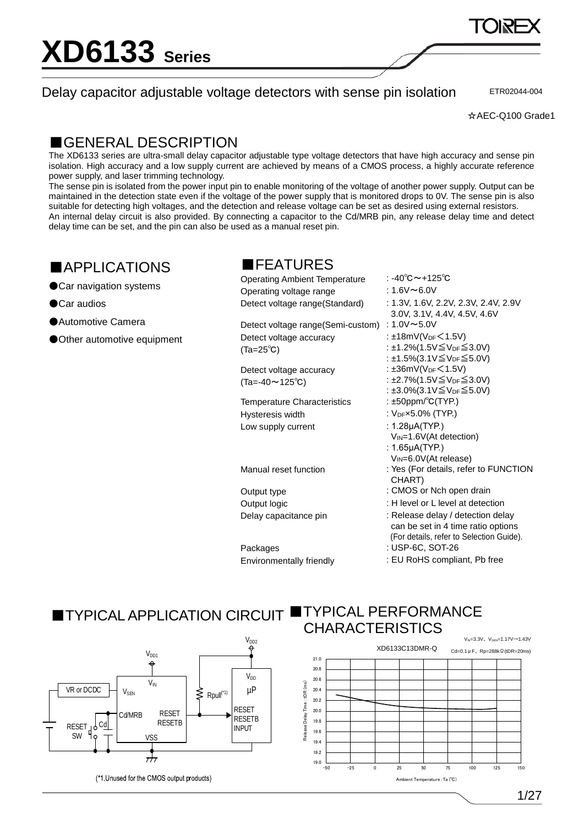Delay capacitor adjustable voltage detectors with sense pin isolation

ETR02044-004

### ■GENERAL DESCRIPTION

The XD6133 series are ultra-small delay capacitor adjustable type voltage detectors that have high accuracy and sense pin isolation. High accuracy and a low supply current are achieved by means of a CMOS process, a highly accurate reference power supply, and laser trimming technology.

The sense pin is isolated from the power input pin to enable monitoring of the voltage of another power supply. Output can be maintained in the detection state even if the voltage of the power supply that is monitored drops to 0V. The sense pin is also suitable for detecting high voltages, and the detection and release voltage can be set as desired using external resistors. An internal delay circuit is also provided. By connecting a capacitor to the Cd/MRB pin, any release delay time and detect delay time can be set, and the pin can also be used as a manual reset pin.

## ■APPLICATIONS

●Car navigation systems

●Car audios

●Automotive Camera

●Other automotive equipment

### ■FEATURES

| <b>Operating Ambient Temperature</b> | : -40℃~+125℃                                                                                                       |
|--------------------------------------|--------------------------------------------------------------------------------------------------------------------|
| Operating voltage range              | : 1.6V∼6.0V                                                                                                        |
| Detect voltage range (Standard)      | : 1.3V, 1.6V, 2.2V, 2.3V, 2.4V, 2.9V<br>3.0V, 3.1V, 4.4V, 4.5V, 4.6V                                               |
| Detect voltage range (Semi-custom)   | : $1.0V \sim 5.0V$                                                                                                 |
| Detect voltage accuracy              | : ±18mV( $V_{DF}$ < 1.5V)                                                                                          |
| $(Ta=25^{\circ}C)$                   | : ±1.2%(1.5V≦V <sub>DF</sub> ≤ 3.0V)                                                                               |
|                                      | : ±1.5%(3.1V≦V <sub>DF</sub> ≤ 5.0V)                                                                               |
| Detect voltage accuracy              | : $\pm 36$ mV(V <sub>DF</sub> $\leq 1.5$ V)                                                                        |
| $(Ta=-40 \sim 125^{\circ}C)$         | : ±2.7%(1.5V≦V <sub>DF</sub> ≤ 3.0V)                                                                               |
|                                      | : ±3.0%(3.1V≦V <sub>DF</sub> ≤ 5.0V)                                                                               |
| <b>Temperature Characteristics</b>   | : $\pm 50$ ppm/ $\degree$ C(TYP.)                                                                                  |
| Hysteresis width                     | : VDFx5.0% (TYP.)                                                                                                  |
| Low supply current                   | : $1.28\mu$ A(TYP.)                                                                                                |
|                                      | V <sub>IN</sub> =1.6V(At detection)                                                                                |
|                                      | : $1.65 \mu A(TYP.)$                                                                                               |
|                                      | $V_{IN} = 6.0V (At release)$                                                                                       |
| Manual reset function                | : Yes (For details, refer to FUNCTI<br>CHART)                                                                      |
| Output type                          | : CMOS or Nch open drain                                                                                           |
| Output logic                         | : H level or L level at detection                                                                                  |
| Delay capacitance pin                | : Release delay / detection delay<br>can be set in 4 time ratio options<br>(For details, refer to Selection Guide) |
| Packages                             | : USP-6C, SOT-26                                                                                                   |
| Environmentally friendly             | : EU RoHS compliant, Pb free                                                                                       |

 $.5V)$  $v_{\text{DF}} \leq 3.0V$  $v_{\text{DF}}$  $\leq$ 5.0V)  $.5V)$  $v_{\text{DF}} \leq 3.0V$  $v_{\text{DF}} \leq 5.0V$ tection) ease)  $,$  refer to FUNCTION open drain el at detection

#### ■TYPICAL APPLICATION CIRCUIT ■TYPICAL PERFORMANCE CHARACTERISTICS

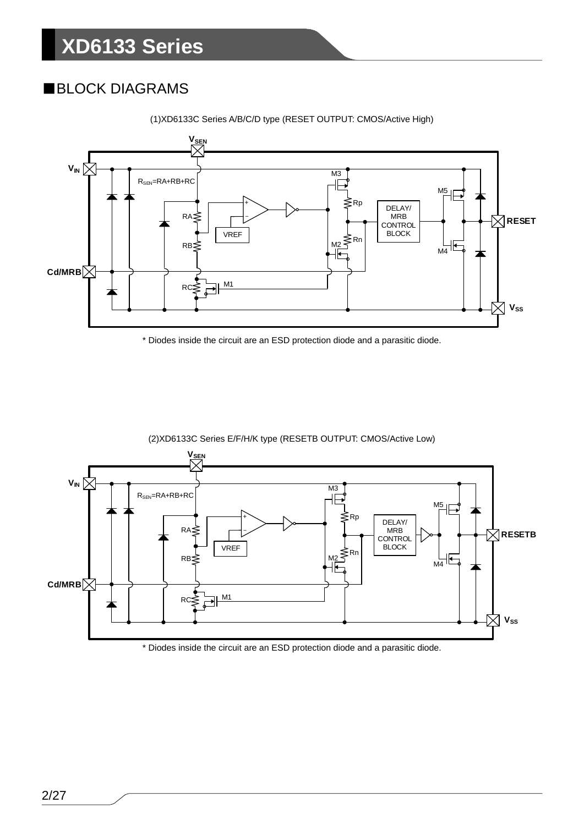## ■BLOCK DIAGRAMS



(1)XD6133C Series A/B/C/D type (RESET OUTPUT: CMOS/Active High)

\* Diodes inside the circuit are an ESD protection diode and a parasitic diode.



\* Diodes inside the circuit are an ESD protection diode and a parasitic diode.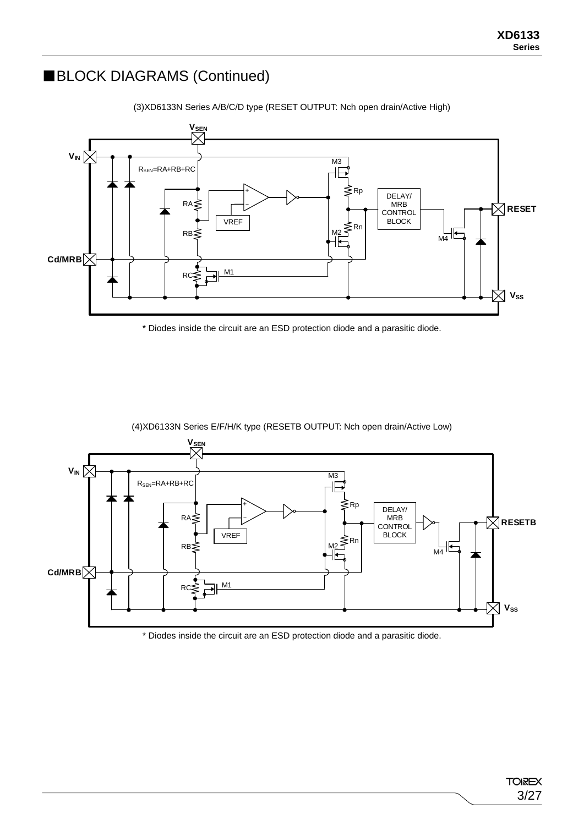### ■BLOCK DIAGRAMS (Continued)



(3)XD6133N Series A/B/C/D type (RESET OUTPUT: Nch open drain/Active High)

\* Diodes inside the circuit are an ESD protection diode and a parasitic diode.



(4)XD6133N Series E/F/H/K type (RESETB OUTPUT: Nch open drain/Active Low)

\* Diodes inside the circuit are an ESD protection diode and a parasitic diode.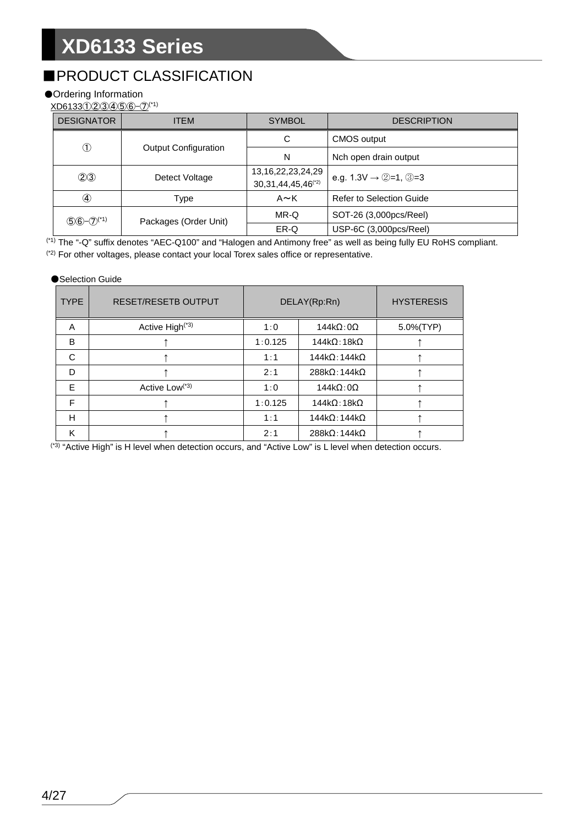## ■PRODUCT CLASSIFICATION

### ●Ordering Information

XD6133①②③④⑤⑥-⑦(\*1)

| <b>DESIGNATOR</b> | <b>ITEM</b>                 | <b>SYMBOL</b>                                                | <b>DESCRIPTION</b>                                              |
|-------------------|-----------------------------|--------------------------------------------------------------|-----------------------------------------------------------------|
|                   |                             | C                                                            | CMOS output                                                     |
| $^\circledR$      | <b>Output Configuration</b> | N                                                            | Nch open drain output                                           |
| (2)3              | Detect Voltage              | 13, 16, 22, 23, 24, 29<br>30, 31, 44, 45, 46 <sup>(*2)</sup> | e.g. $1.3V \rightarrow \textcircled{2}=1$ , $\textcircled{3}=3$ |
| $\circledast$     | Type                        | $A \sim K$                                                   | Refer to Selection Guide                                        |
| $56 - 7^{(1)}$    | Packages (Order Unit)       | MR-Q                                                         | SOT-26 (3,000pcs/Reel)                                          |
|                   |                             | ER-Q                                                         | USP-6C (3,000pcs/Reel)                                          |

(\*1) The "-Q" suffix denotes "AEC-Q100" and "Halogen and Antimony free" as well as being fully EU RoHS compliant. (\*2) For other voltages, please contact your local Torex sales office or representative.

#### ●Selection Guide

| <b>TYPE</b> | <b>RESET/RESETB OUTPUT</b>  |         | DELAY(Rp:Rn)                 | <b>HYSTERESIS</b> |
|-------------|-----------------------------|---------|------------------------------|-------------------|
| A           | Active High <sup>(*3)</sup> | 1:0     | $144k\Omega:0\Omega$         | 5.0%(TYP)         |
| B           |                             | 1:0.125 | $144k\Omega$ : 18k $\Omega$  |                   |
| C           |                             | 1:1     | $144k\Omega:144k\Omega$      |                   |
| D           |                             | 2:1     | $288k\Omega:144k\Omega$      |                   |
| E           | Active Low <sup>(*3)</sup>  | 1:0     | $144k\Omega:0\Omega$         |                   |
| F           |                             | 1:0.125 | $144k\Omega$ : 18k $\Omega$  |                   |
| H           |                             | 1:1     | $144k\Omega$ : 144k $\Omega$ |                   |
| K           |                             | 2:1     | $288k\Omega$ : 144k $\Omega$ |                   |

<sup>(\*3)</sup> "Active High" is H level when detection occurs, and "Active Low" is L level when detection occurs.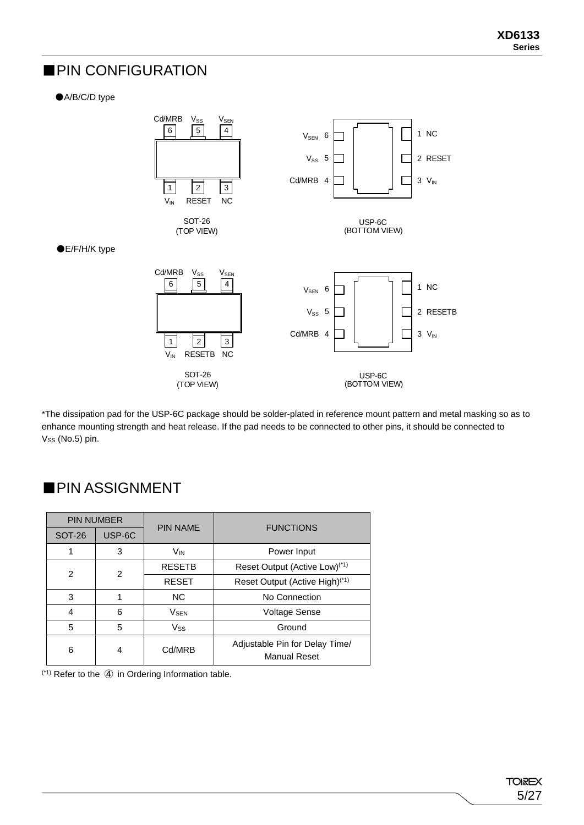### ■PIN CONFIGURATION

●A/B/C/D type



\*The dissipation pad for the USP-6C package should be solder-plated in reference mount pattern and metal masking so as to enhance mounting strength and heat release. If the pad needs to be connected to other pins, it should be connected to Vss (No.5) pin.

## ■PIN ASSIGNMENT

|                | <b>PIN NUMBER</b> | <b>PIN NAME</b>        | <b>FUNCTIONS</b>                                      |
|----------------|-------------------|------------------------|-------------------------------------------------------|
| <b>SOT-26</b>  | USP-6C            |                        |                                                       |
| 1              | 3                 | <b>V<sub>IN</sub></b>  | Power Input                                           |
| $\overline{2}$ | $\mathcal{P}$     | <b>RESETB</b>          | Reset Output (Active Low) <sup>(*1)</sup>             |
|                |                   | <b>RESET</b>           | Reset Output (Active High) <sup>(*1)</sup>            |
| 3              |                   | <b>NC</b>              | No Connection                                         |
| 4              | 6                 | <b>V<sub>SEN</sub></b> | <b>Voltage Sense</b>                                  |
| 5              | 5                 | <b>Vss</b>             | Ground                                                |
| 6              | 4                 | Cd/MRB                 | Adjustable Pin for Delay Time/<br><b>Manual Reset</b> |

(\*1) Refer to the ④ in Ordering Information table.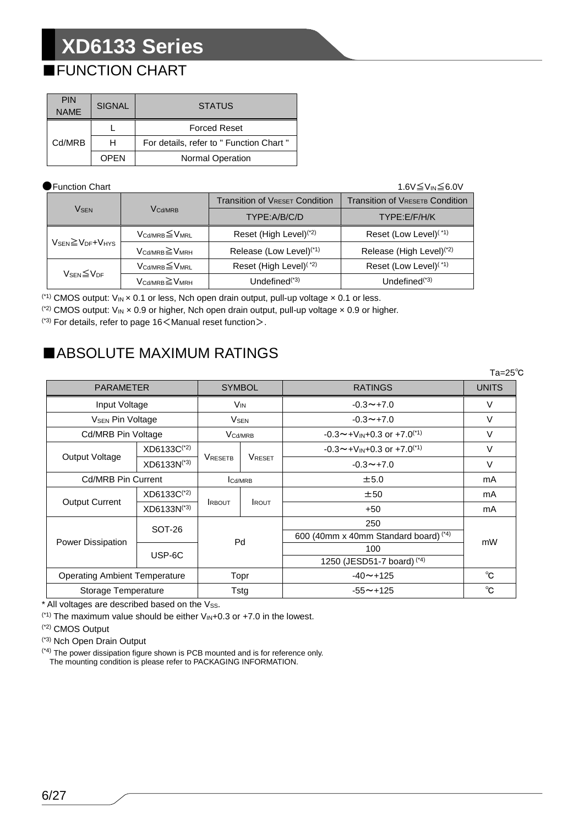## ■FUNCTION CHART

| <b>PIN</b><br><b>NAME</b> | <b>SIGNAL</b> | <b>STATUS</b>                            |
|---------------------------|---------------|------------------------------------------|
|                           |               | <b>Forced Reset</b>                      |
| Cd/MRB                    | н             | For details, refer to " Function Chart " |
|                           | OPEN          | <b>Normal Operation</b>                  |

#### ●Function Chart 1.6V≦V<sub>IN</sub>≦6.0V

|                                                      |                                         | <b>Transition of VRESET Condition</b> | <b>Transition of VRESETB Condition</b> |  |
|------------------------------------------------------|-----------------------------------------|---------------------------------------|----------------------------------------|--|
| <b>VSEN</b>                                          | <b>V<sub>Cd/MRB</sub></b>               | TYPE:A/B/C/D                          | TYPE:E/F/H/K                           |  |
|                                                      | $V_{\text{Cd/MRB}} \leq V_{\text{MRL}}$ | Reset (High Level) <sup>(*2)</sup>    | Reset (Low Level) <sup>(*1)</sup>      |  |
| $V_{\text{SEN}} \geq V_{\text{DF}} + V_{\text{HYS}}$ | $V_{\text{Cd/MRB}} \geq V_{\text{MRH}}$ | Release (Low Level) <sup>(*1)</sup>   | Release (High Level) <sup>(*2)</sup>   |  |
|                                                      | $V_{\text{Cd/MRB}} \leq V_{\text{MRL}}$ | Reset (High Level) <sup>(*2)</sup>    | Reset (Low Level) <sup>(*1)</sup>      |  |
| $V_{\text{SEN}}{\leq}V_{\text{DF}}$                  | $V_{\text{Cd/MRB}} \geq V_{\text{MRH}}$ | Undefined $(1, 3)$                    | Undefined $(1, 3)$                     |  |

 $(1)$  CMOS output:  $V_{IN} \times 0.1$  or less, Nch open drain output, pull-up voltage  $\times 0.1$  or less.

 $(2)$  CMOS output: V<sub>IN</sub> x 0.9 or higher, Nch open drain output, pull-up voltage x 0.9 or higher.

 $(3)$  For details, refer to page 16  $<$  Manual reset function $>$ .

## ■ABSOLUTE MAXIMUM RATINGS

|                                      |                         |                 |                        |                                         | $Ta = 25^{\circ}C$ |  |
|--------------------------------------|-------------------------|-----------------|------------------------|-----------------------------------------|--------------------|--|
| <b>PARAMETER</b>                     |                         | <b>SYMBOL</b>   |                        | <b>RATINGS</b>                          | <b>UNITS</b>       |  |
| Input Voltage                        |                         | V <sub>IN</sub> |                        | $-0.3 \rightarrow +7.0$                 | $\vee$             |  |
| <b>V<sub>SEN</sub> Pin Voltage</b>   |                         |                 | <b>V<sub>SEN</sub></b> | $-0.3 \rightarrow +7.0$                 | $\vee$             |  |
| Cd/MRB Pin Voltage                   |                         |                 | V <sub>Cd/MRB</sub>    | $-0.3 \sim +V_{IN}+0.3$ or $+7.0^{(1)}$ | $\vee$             |  |
|                                      | $XD6133C^{(2)}$         |                 |                        | $-0.3 \sim +V_{IN}+0.3$ or $+7.0^{(1)}$ | $\vee$             |  |
| Output Voltage                       | XD6133N <sup>(*3)</sup> | <b>VRESETB</b>  | <b>VRESET</b>          | $-0.3 \rightarrow +7.0$                 | V                  |  |
| <b>Cd/MRB Pin Current</b>            |                         | <b>I</b> Cd/MRB |                        | ±5.0                                    | mA                 |  |
|                                      | XD6133C <sup>(*2)</sup> |                 |                        | ±50                                     | mA                 |  |
| <b>Output Current</b>                | XD6133N(*3)             | <b>IRBOUT</b>   | <b>I</b> ROUT          | $+50$                                   | mA                 |  |
|                                      |                         |                 |                        | 250                                     |                    |  |
|                                      | SOT-26                  |                 | Pd                     | 600 (40mm x 40mm Standard board) (*4)   | mW                 |  |
| Power Dissipation                    | USP-6C                  |                 |                        | 100                                     |                    |  |
|                                      |                         |                 |                        | 1250 (JESD51-7 board) (*4)              |                    |  |
| <b>Operating Ambient Temperature</b> |                         | Topr            |                        | $-40 \sim +125$                         | $^{\circ}C$        |  |
| Storage Temperature                  |                         |                 | Tstg                   | $-55 \sim +125$                         | °C                 |  |

\* All voltages are described based on the Vss.

 $(1)$ <sup>(\*1)</sup> The maximum value should be either  $V_{IN}+0.3$  or  $+7.0$  in the lowest.

(\*2) CMOS Output

(\*3) Nch Open Drain Output

 $(4)$  The power dissipation figure shown is PCB mounted and is for reference only. The mounting condition is please refer to PACKAGING INFORMATION.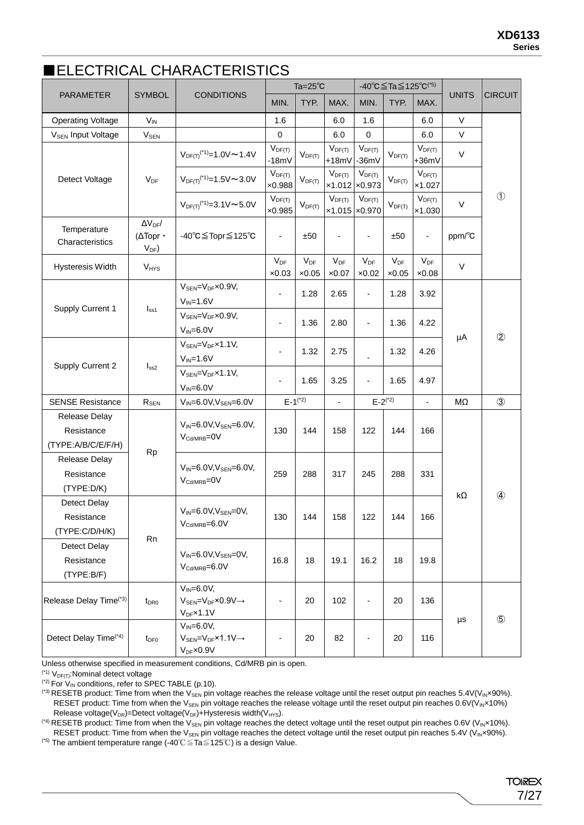### ■ELECTRICAL CHARACTERISTICS

|                                                   |                                                 |                                                                                                     |                               | Ta= $25^{\circ}$ C        |                              | -40°C≦Ta≦125°C <sup>(*5)</sup>   |                           |                           |              |                |
|---------------------------------------------------|-------------------------------------------------|-----------------------------------------------------------------------------------------------------|-------------------------------|---------------------------|------------------------------|----------------------------------|---------------------------|---------------------------|--------------|----------------|
| PARAMETER                                         | <b>SYMBOL</b>                                   | <b>CONDITIONS</b>                                                                                   | MIN.                          | TYP.                      | MAX.                         | MIN.                             | TYP.                      | MAX.                      | <b>UNITS</b> | <b>CIRCUIT</b> |
| <b>Operating Voltage</b>                          | $V_{IN}$                                        |                                                                                                     | 1.6                           |                           | 6.0                          | 1.6                              |                           | 6.0                       | $\vee$       |                |
| <b>V<sub>SEN</sub></b> Input Voltage              | $V_{SEN}$                                       |                                                                                                     | $\pmb{0}$                     |                           | 6.0                          | $\pmb{0}$                        |                           | 6.0                       | V            |                |
|                                                   |                                                 | $V_{DF(T)}$ <sup>(*1)</sup> =1.0V ~ 1.4V                                                            | $V_{DF(T)}$<br>$-18mV$        | $V_{DF(T)}$               | $V_{DF(T)}$<br>$+18mV$       | $V_{DF(T)}$<br>$-36mV$           | $V_{DF(T)}$               | $V_{DF(T)}$<br>$+36mV$    | $\vee$       |                |
| Detect Voltage                                    | $V_{DF}$                                        | $V_{DF(T)}$ <sup>(*1)</sup> =1.5V ~ 3.0V                                                            | $V_{DF(T)}$<br>×0.988         | $V_{DF(T)}$               | $V_{DF(T)}$                  | $V_{DF(T)}$<br>$x1.012$ $x0.973$ | $V_{DF(T)}$               | $V_{DF(T)}$<br>x1.027     |              |                |
|                                                   |                                                 | $V_{DF(T)}$ <sup>(*1)</sup> =3.1V $\sim$ 5.0V                                                       | $V_{DF(T)}$<br>$\times 0.985$ | $V_{DF(T)}$               | $V_{DF(T)}$<br>x1.015 x0.970 | $V_{DF(T)}$                      | $V_{DF(T)}$               | $V_{DF(T)}$<br>x1.030     | $\vee$       | $\circled{1}$  |
| Temperature<br>Characteristics                    | $\Delta\rm {V_{DF}}/$<br>(ATopr ·<br>$V_{DF}$ ) | -40°C≦Topr≦125°C                                                                                    | $\overline{\phantom{a}}$      | ±50                       | $\overline{\phantom{a}}$     | $\overline{\phantom{a}}$         | ±50                       | $\overline{\phantom{a}}$  | ppm/°C       |                |
| Hysteresis Width                                  | <b>V<sub>HYS</sub></b>                          |                                                                                                     | $V_{DF}$<br>$\times 0.03$     | $V_{DF}$<br>$\times 0.05$ | $V_{DF}$<br>$\times 0.07$    | $V_{DF}$<br>$\times 0.02$        | $V_{DF}$<br>$\times 0.05$ | $V_{DF}$<br>$\times 0.08$ | V            |                |
|                                                   |                                                 | $V_{\text{SEN}} = V_{\text{DF}} \times 0.9 V$ ,<br>$V_{IN} = 1.6V$                                  |                               | 1.28                      | 2.65                         | $\blacksquare$                   | 1.28                      | 3.92                      |              |                |
| Supply Current 1                                  | I <sub>ss1</sub>                                | $V_{\text{SEN}} = V_{\text{DF}} \times 0.9 V$ ,<br>$V_{IN} = 6.0V$                                  | ٠                             | 1.36                      | 2.80                         | $\overline{\phantom{a}}$         | 1.36                      | 4.22                      |              | $^{\circledR}$ |
|                                                   | I <sub>ss2</sub>                                | $V_{\text{SEN}} = V_{\text{DF}} \times 1.1 V$<br>$V_{IN} = 1.6V$                                    | $\overline{\phantom{0}}$      | 1.32                      | 2.75                         |                                  | 1.32                      | 4.26                      | μA           |                |
| Supply Current 2                                  |                                                 | $V_{\text{SEN}} = V_{\text{DF}} \times 1.1 V$ ,<br>$V_{IN} = 6.0V$                                  |                               | 1.65                      | 3.25                         |                                  | 1.65                      | 4.97                      |              |                |
| <b>SENSE Resistance</b>                           | $R_{\text{SEN}}$                                | $V_{IN} = 6.0V, V_{SEN} = 6.0V$                                                                     |                               | $E-1^{(*)}$               | $\blacksquare$               | $E - 2^{(*)}$                    |                           | $\overline{\phantom{a}}$  | ΜΩ           | $\circled{3}$  |
| Release Delay<br>Resistance<br>(TYPE:A/B/C/E/F/H) |                                                 | $V_{IN} = 6.0 V, V_{SEN} = 6.0 V,$<br>V <sub>Cd/MRB</sub> =0V                                       | 130                           | 144                       | 158                          | 122                              | 144                       | 166                       |              |                |
| Release Delay<br>Resistance<br>(TYPE:D/K)         | <b>Rp</b>                                       | $V_{IN} = 6.0 V, V_{SEN} = 6.0 V,$<br>V <sub>Cd/MRB</sub> =0V                                       | 259                           | 288                       | 317                          | 245                              | 288                       | 331                       |              |                |
| Detect Delay<br>Resistance<br>(TYPE:C/D/H/K)      | Rn                                              | $V_{IN} = 6.0 V, V_{SEN} = 0 V,$<br>$V_{Cd/MRB} = 6.0V$                                             | 130                           | 144                       | 158                          | 122                              | 144                       | 166                       | kΩ           | $\circled{4}$  |
| Detect Delay<br>Resistance<br>(TYPE:B/F)          |                                                 | $V_{IN} = 6.0V, V_{SEN} = 0V,$<br>$V_{\text{Cd/MRB}} = 6.0V$                                        | 16.8                          | 18                        | 19.1                         | 16.2                             | 18                        | 19.8                      |              |                |
| Release Delay Time <sup>(*3)</sup>                | $t_{\text{DRO}}$                                | $V_{IN} = 6.0V$ ,<br>$V_{\text{SEN}} = V_{\text{DF}} \times 0.9 V \rightarrow$<br>$V_{DF}$ x1.1 $V$ |                               | 20                        | 102                          |                                  | 20                        | 136                       | $\mu s$      | $\circledS$    |
| Detect Delay Time <sup>(*4)</sup><br>$t_{DF0}$    |                                                 | $V_{IN} = 6.0V,$<br>$V_{SEN} = V_{DF} \times 1.1 V \rightarrow$<br>$V_{DF} \times 0.9 V$            |                               | 20                        | 82                           |                                  | 20                        | 116                       |              |                |

Unless otherwise specified in measurement conditions, Cd/MRB pin is open.

 $(1)$  V<sub>DF(T)</sub>: Nominal detect voltage

 $(2)$  For  $V_{IN}$  conditions, refer to SPEC TABLE (p.10).

(3) RESETB product: Time from when the Vsen pin voltage reaches the release voltage until the reset output pin reaches 5.4V(V<sub>IN</sub>×90%). RESET product: Time from when the V<sub>SEN</sub> pin voltage reaches the release voltage until the reset output pin reaches  $0.6V(V_{IN} \times 10\%)$ Release voltage( $V_{DR}$ )=Detect voltage( $V_{DF}$ )+Hysteresis width( $V_{HYS}$ ).

(\*4) RESETB product: Time from when the V<sub>SEN</sub> pin voltage reaches the detect voltage until the reset output pin reaches 0.6V (V<sub>IN</sub>×10%). RESET product: Time from when the V<sub>SEN</sub> pin voltage reaches the detect voltage until the reset output pin reaches 5.4V (V<sub>IN</sub>×90%).

(\*5) The ambient temperature range (-40℃≦Ta≦125℃) is a design Value.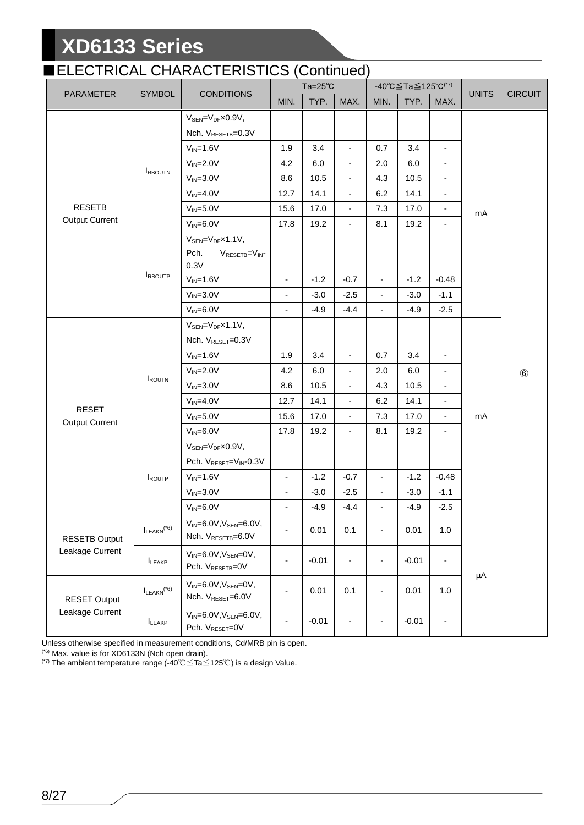## ■ELECTRICAL CHARACTERISTICS (Continued)

|                       |                             |                                                                                  | $Ta=25^\circ C$          |         | $-40^{\circ}C \leq Ta \leq 125^{\circ}C^{(7)}$ |                          |         | <b>UNITS</b>                 | <b>CIRCUIT</b> |               |
|-----------------------|-----------------------------|----------------------------------------------------------------------------------|--------------------------|---------|------------------------------------------------|--------------------------|---------|------------------------------|----------------|---------------|
| PARAMETER             | <b>SYMBOL</b>               | <b>CONDITIONS</b>                                                                | MIN.                     | TYP.    | MAX.                                           | MIN.                     | TYP.    | MAX.                         |                |               |
|                       |                             | $V_{\text{SEN}} = V_{\text{DF}} \times 0.9 V$ ,                                  |                          |         |                                                |                          |         |                              |                |               |
|                       |                             | Nch. V <sub>RESETB</sub> =0.3V                                                   |                          |         |                                                |                          |         |                              |                |               |
|                       |                             | $V_{IN} = 1.6V$                                                                  | 1.9                      | 3.4     | $\blacksquare$                                 | 0.7                      | 3.4     | $\overline{a}$               |                |               |
|                       |                             | $V_{IN} = 2.0V$                                                                  | 4.2                      | 6.0     | $\blacksquare$                                 | 2.0                      | 6.0     |                              |                |               |
|                       | <b>IRBOUTN</b>              | $V_{IN} = 3.0V$                                                                  | 8.6                      | 10.5    | $\overline{\phantom{a}}$                       | 4.3                      | 10.5    |                              |                |               |
|                       |                             | $V_{IN} = 4.0V$                                                                  | 12.7                     | 14.1    | $\blacksquare$                                 | 6.2                      | 14.1    | $\overline{a}$               |                |               |
| <b>RESETB</b>         |                             | $V_{IN} = 5.0V$                                                                  | 15.6                     | 17.0    | $\blacksquare$                                 | 7.3                      | 17.0    | $\qquad \qquad \blacksquare$ | mA             |               |
| <b>Output Current</b> |                             | $V_{IN} = 6.0V$                                                                  | 17.8                     | 19.2    |                                                | 8.1                      | 19.2    |                              |                |               |
|                       |                             | $V_{\text{SEN}} = V_{\text{DF}} \times 1.1 V$ ,<br>Pch.<br>$V_{RESETB} = V_{IN}$ |                          |         |                                                |                          |         |                              |                |               |
|                       |                             | 0.3V                                                                             |                          |         |                                                |                          |         |                              |                |               |
|                       | <b>IRBOUTP</b>              | $V_{IN} = 1.6V$                                                                  | $\blacksquare$           | $-1.2$  | $-0.7$                                         | $\overline{\phantom{a}}$ | $-1.2$  | $-0.48$                      |                |               |
|                       |                             | $V_{IN} = 3.0V$                                                                  | $\overline{\phantom{a}}$ | $-3.0$  | $-2.5$                                         | $\overline{\phantom{a}}$ | $-3.0$  | $-1.1$                       |                |               |
|                       |                             | $V_{IN} = 6.0V$                                                                  | $\overline{\phantom{a}}$ | $-4.9$  | $-4.4$                                         | ÷.                       | $-4.9$  | $-2.5$                       |                |               |
|                       | <b>IROUTN</b>               | $V_{SEN} = V_{DF} \times 1.1 V$ ,                                                |                          |         |                                                |                          |         |                              |                | $\circledast$ |
|                       |                             | Nch. V <sub>RESET</sub> =0.3V                                                    |                          |         |                                                |                          |         |                              |                |               |
|                       |                             | $V_{IN} = 1.6V$                                                                  | 1.9                      | 3.4     | $\blacksquare$                                 | 0.7                      | 3.4     | $\frac{1}{2}$                |                |               |
|                       |                             | $V_{IN} = 2.0V$                                                                  | 4.2                      | 6.0     | $\overline{\phantom{a}}$                       | 2.0                      | 6.0     |                              |                |               |
|                       |                             | $V_{IN} = 3.0V$                                                                  | 8.6                      | 10.5    | $\overline{\phantom{a}}$                       | 4.3                      | 10.5    | $\frac{1}{2}$                |                |               |
| <b>RESET</b>          |                             | $V_{IN} = 4.0V$                                                                  | 12.7                     | 14.1    | $\overline{\phantom{a}}$                       | 6.2                      | 14.1    | $\overline{\phantom{0}}$     |                |               |
| <b>Output Current</b> |                             | $V_{IN} = 5.0V$                                                                  | 15.6                     | 17.0    | $\blacksquare$                                 | 7.3                      | 17.0    | $\overline{a}$               | mA             |               |
|                       |                             | $V_{IN} = 6.0V$                                                                  | 17.8                     | 19.2    | $\overline{\phantom{a}}$                       | 8.1                      | 19.2    | $\frac{1}{2}$                |                |               |
|                       |                             | $V_{\text{SEN}} = V_{\text{DF}} \times 0.9 V$ ,                                  |                          |         |                                                |                          |         |                              |                |               |
|                       |                             | Pch. V <sub>RESET</sub> =V <sub>IN</sub> -0.3V                                   |                          |         |                                                |                          |         |                              |                |               |
|                       | ROUTP                       | $V_{IN} = 1.6V$                                                                  | $\overline{\phantom{a}}$ | $-1.2$  | $-0.7$                                         | ÷.                       | $-1.2$  | $-0.48$                      |                |               |
|                       |                             | $V_{IN} = 3.0V$                                                                  | $\overline{\phantom{a}}$ | $-3.0$  | $-2.5$                                         | $\blacksquare$           | $-3.0$  | $-1.1$                       |                |               |
|                       |                             | $V_{IN} = 6.0V$                                                                  | $\overline{\phantom{a}}$ | $-4.9$  | $-4.4$                                         | $\overline{\phantom{a}}$ | $-4.9$  | $-2.5$                       |                |               |
| <b>RESETB Output</b>  | $I_{LEAKN}$ <sup>(*6)</sup> | $V_{IN} = 6.0 V, V_{SEN} = 6.0 V,$<br>Nch. VRESETB=6.0V                          | $\blacksquare$           | 0.01    | 0.1                                            | $\overline{\phantom{a}}$ | 0.01    | 1.0                          |                |               |
| Leakage Current       | LEAKP                       | $V_{IN} = 6.0V, V_{SEN} = 0V,$<br>Pch. V <sub>RESETB</sub> =0V                   | $\overline{\phantom{a}}$ | $-0.01$ | $\overline{\phantom{a}}$                       | $\overline{\phantom{a}}$ | $-0.01$ | $\qquad \qquad \blacksquare$ |                |               |
| <b>RESET Output</b>   | $I_{LEAKN}$ <sup>(*6)</sup> | $V_{IN} = 6.0V, V_{SEN} = 0V,$<br>Nch. V <sub>RESET</sub> =6.0V                  | $\overline{\phantom{a}}$ | 0.01    | 0.1                                            | $\overline{\phantom{a}}$ | 0.01    | 1.0                          | μA             |               |
| Leakage Current       | LEAKP                       | $V_{IN} = 6.0 V, V_{SEN} = 6.0 V,$<br>Pch. V <sub>RESET</sub> =0V                | $\overline{\phantom{a}}$ | $-0.01$ | $\overline{\phantom{a}}$                       | $\overline{\phantom{0}}$ | $-0.01$ | $\overline{\phantom{0}}$     |                |               |

Unless otherwise specified in measurement conditions, Cd/MRB pin is open.

(\*6) Max. value is for XD6133N (Nch open drain).

(\*7) The ambient temperature range (-40℃≦Ta≦125℃) is a design Value.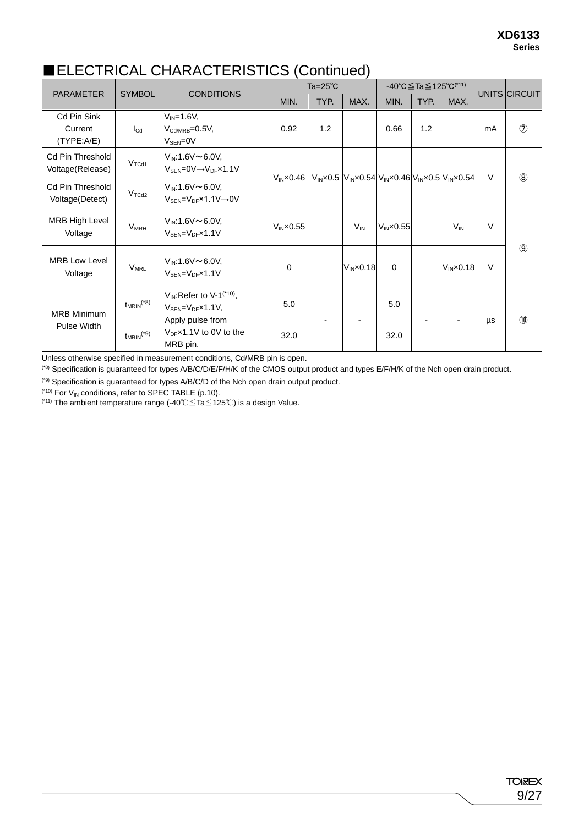### ■ELECTRICAL CHARACTERISTICS (Continued)

| <b>PARAMETER</b>                            | <b>SYMBOL</b>              | <b>CONDITIONS</b>                                                                                  |                      | Ta= $25^{\circ}$ C |                                                                          |                      | -40 °C $\leq$ Ta $\leq$ 125 °C <sup>(*11)</sup> |                      | UNITS CIRCUIT |                |
|---------------------------------------------|----------------------------|----------------------------------------------------------------------------------------------------|----------------------|--------------------|--------------------------------------------------------------------------|----------------------|-------------------------------------------------|----------------------|---------------|----------------|
|                                             |                            |                                                                                                    | MIN.                 | TYP.               | MAX.                                                                     | MIN.                 | TYP.                                            | MAX.                 |               |                |
| Cd Pin Sink<br>Current<br>(TYPE: A/E)       | $I_{\text{Cd}}$            | $V_{IN} = 1.6V$ ,<br>$V_{\text{Cd/MRB}} = 0.5V$ ,<br>$V_{\text{SEN}} = 0V$                         | 0.92                 | 1.2                |                                                                          | 0.66                 | 1.2                                             |                      | mA            | $\circledcirc$ |
| <b>Cd Pin Threshold</b><br>Voltage(Release) | V <sub>TCd1</sub>          | $V_{IN}$ :1.6V $\sim$ 6.0V,<br>$V_{\text{SEN}} = 0 \vee \rightarrow V_{\text{DF}} \times 1.1 \vee$ | $VIN \times 0.46$    |                    | $V_{IN}$ x0.5 $V_{IN}$ x0.54 $V_{IN}$ x0.46 $V_{IN}$ x0.5 $V_{IN}$ x0.54 |                      |                                                 |                      | V             | $\circledR$    |
| <b>Cd Pin Threshold</b><br>Voltage(Detect)  | $V_{TCd2}$                 | $V_{IN}$ :1.6V $\sim$ 6.0V,<br>$V_{\text{SEN}} = V_{\text{DF}} \times 1.1 V \rightarrow 0 V$       |                      |                    |                                                                          |                      |                                                 |                      |               |                |
| <b>MRB High Level</b><br>Voltage            | <b>V<sub>MRH</sub></b>     | $V_{IN}$ :1.6V $\sim$ 6.0V,<br>$V_{\text{SFN}} = V_{\text{DF}} \times 1.1 V$                       | $V_{IN} \times 0.55$ |                    | $V_{IN}$                                                                 | $V_{IN} \times 0.55$ |                                                 | $V_{IN}$             | $\vee$        |                |
| <b>MRB Low Level</b><br>Voltage             | <b>V<sub>MRL</sub></b>     | $V_{IN}$ :1.6V $\sim$ 6.0V,<br>$V_{\text{SEN}} = V_{\text{DF}} \times 1.1 V$                       | $\Omega$             |                    | $V_{IN} \times 0.18$                                                     | $\mathbf 0$          |                                                 | $V_{IN} \times 0.18$ | $\vee$        | $\circled{9}$  |
| <b>MRB Minimum</b><br>Pulse Width           | $t_{MRIN}$ <sup>(*8)</sup> | $V_{IN}$ : Refer to V-1 <sup>(*10)</sup> ,<br>$V_{\text{SEN}} = V_{\text{DF}} \times 1.1 V$        | 5.0                  |                    |                                                                          | 5.0                  |                                                 |                      |               | $\circledcirc$ |
|                                             | $t_{MRIN}$ <sup>(*9)</sup> | Apply pulse from<br>$V_{DF}$ x1.1V to 0V to the<br>MRB pin.                                        | 32.0                 |                    |                                                                          | 32.0                 |                                                 |                      | μs            |                |

Unless otherwise specified in measurement conditions, Cd/MRB pin is open.

(\*8) Specification is guaranteed for types A/B/C/D/E/F/H/K of the CMOS output product and types E/F/H/K of the Nch open drain product.

(\*9) Specification is guaranteed for types A/B/C/D of the Nch open drain output product.

 $(10)$  For  $V_{IN}$  conditions, refer to SPEC TABLE (p.10).

(\*11) The ambient temperature range (-40℃≦Ta≦125℃) is a design Value.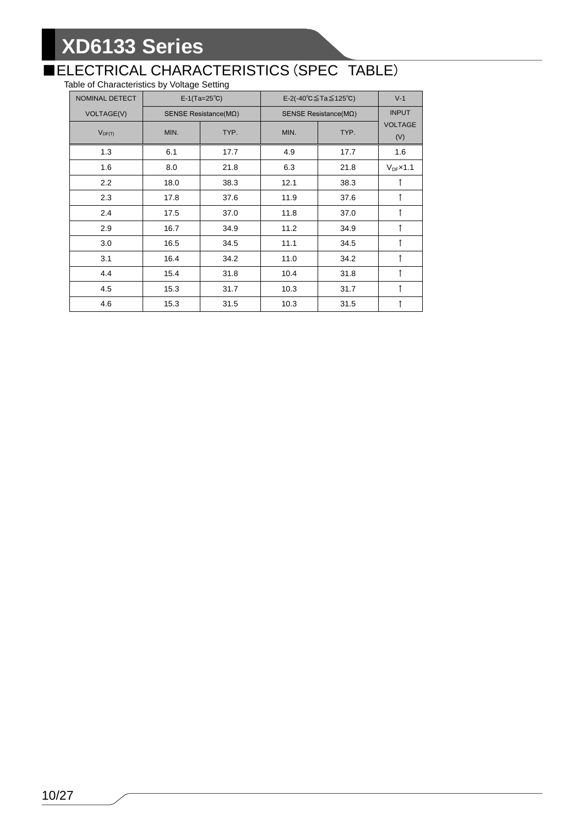## ■ELECTRICAL CHARACTERISTICS (SPEC TABLE)

Table of Characteristics by Voltage Setting

| NOMINAL DETECT    |      | $E-1(Ta=25^{\circ}C)$         | E-2(-40 $^{\circ}$ C $\leq$ Ta $\leq$ 125 $^{\circ}$ C) | $V-1$        |                       |
|-------------------|------|-------------------------------|---------------------------------------------------------|--------------|-----------------------|
| <b>VOLTAGE(V)</b> |      | SENSE Resistance( $M\Omega$ ) | SENSE Resistance( $M\Omega$ )                           | <b>INPUT</b> |                       |
| $V_{DF(T)}$       | MIN. | TYP.                          | MIN.                                                    | TYP.         | <b>VOLTAGE</b><br>(V) |
| 1.3               | 6.1  | 17.7                          | 4.9                                                     | 17.7         | 1.6                   |
| 1.6               | 8.0  | 21.8                          | 6.3                                                     | 21.8         | $V_{DF}$ x1.1         |
| 2.2               | 18.0 | 38.3                          | 12.1                                                    | 38.3         | ↑                     |
| 2.3               | 17.8 | 37.6                          | 11.9                                                    | 37.6         | $\uparrow$            |
| 2.4               | 17.5 | 37.0                          | 11.8                                                    | 37.0         |                       |
| 2.9               | 16.7 | 34.9                          | 11.2                                                    | 34.9         | ↑                     |
| 3.0               | 16.5 | 34.5                          | 11.1                                                    | 34.5         |                       |
| 3.1               | 16.4 | 34.2                          | 11.0                                                    | 34.2         | ↑                     |
| 4.4               | 15.4 | 31.8                          | 10.4                                                    | 31.8         |                       |
| 4.5               | 15.3 | 31.7                          | 10.3                                                    | 31.7         | ↑                     |
| 4.6               | 15.3 | 31.5                          | 10.3                                                    | 31.5         | ↑                     |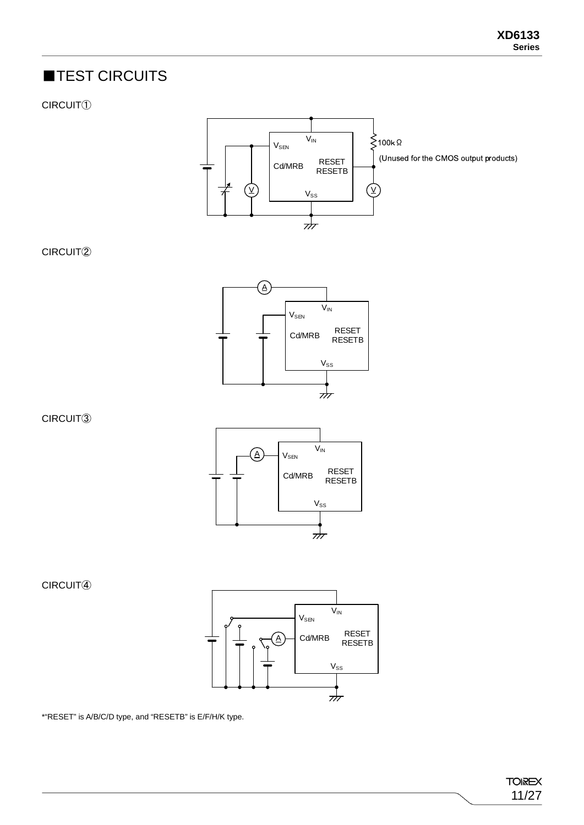## ■TEST CIRCUITS

CIRCUIT①



CIRCUIT②



CIRCUIT③



CIRCUIT④



\*"RESET" is A/B/C/D type, and "RESETB" is E/F/H/K type.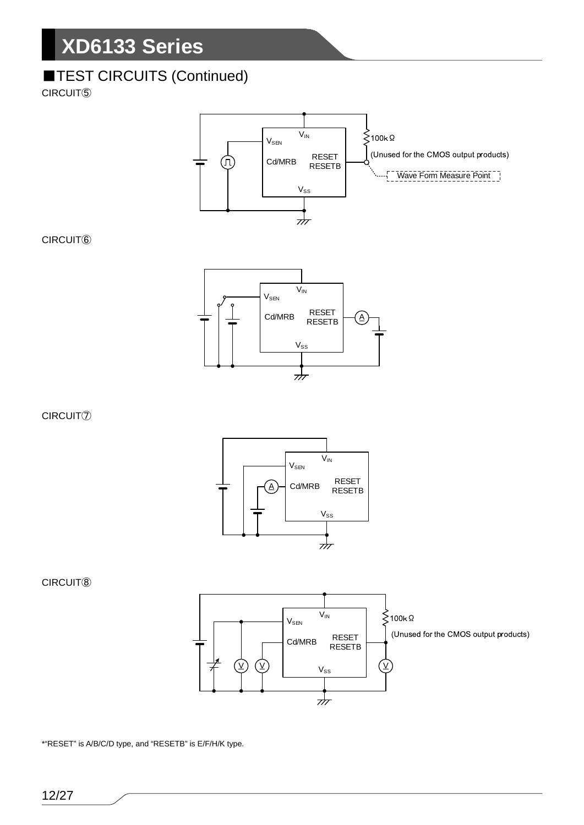## **TEST CIRCUITS (Continued)**

CIRCUIT⑤



CIRCUIT⑥



CIRCUIT⑦



CIRCUIT⑧



\*"RESET" is A/B/C/D type, and "RESETB" is E/F/H/K type.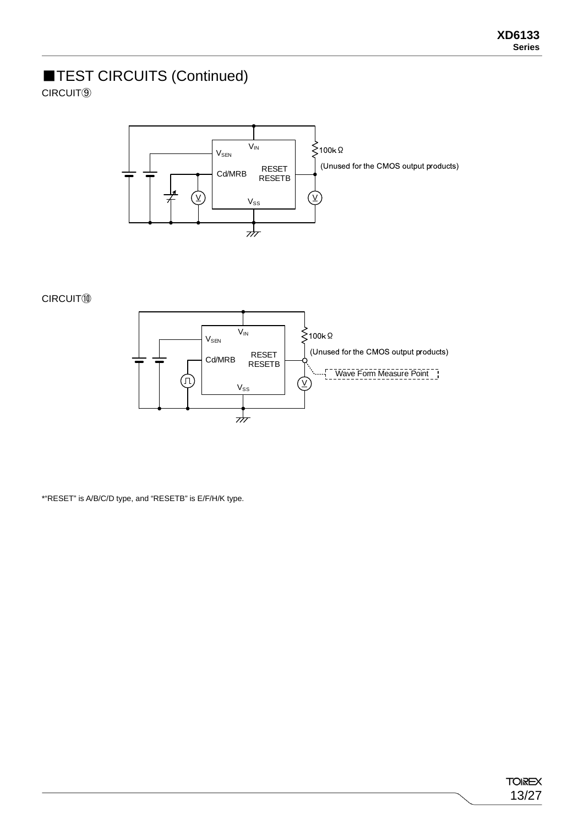## ■TEST CIRCUITS (Continued)

CIRCUIT⑨



CIRCUIT⑩



\*"RESET" is A/B/C/D type, and "RESETB" is E/F/H/K type.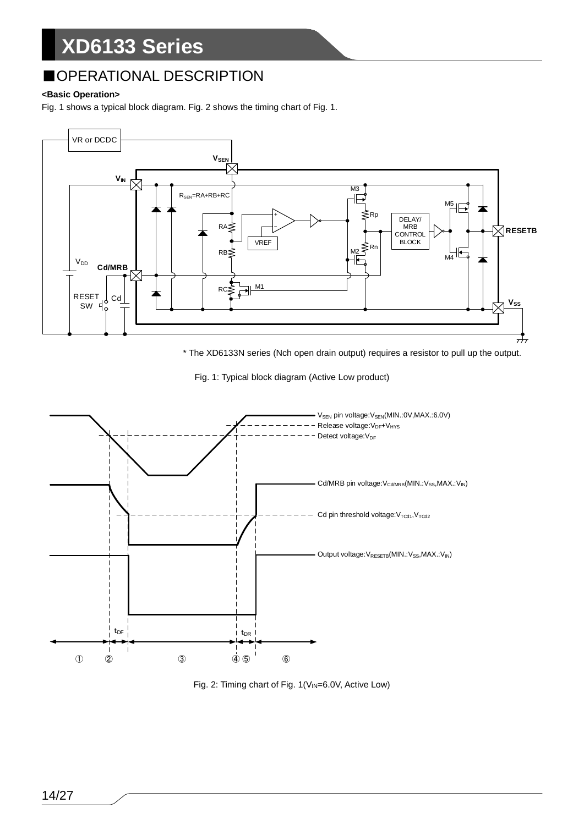## ■OPERATIONAL DESCRIPTION

#### **<Basic Operation>**

Fig. 1 shows a typical block diagram. Fig. 2 shows the timing chart of Fig. 1.



\* The XD6133N series (Nch open drain output) requires a resistor to pull up the output.





Fig. 2: Timing chart of Fig. 1(V<sub>IN</sub>=6.0V, Active Low)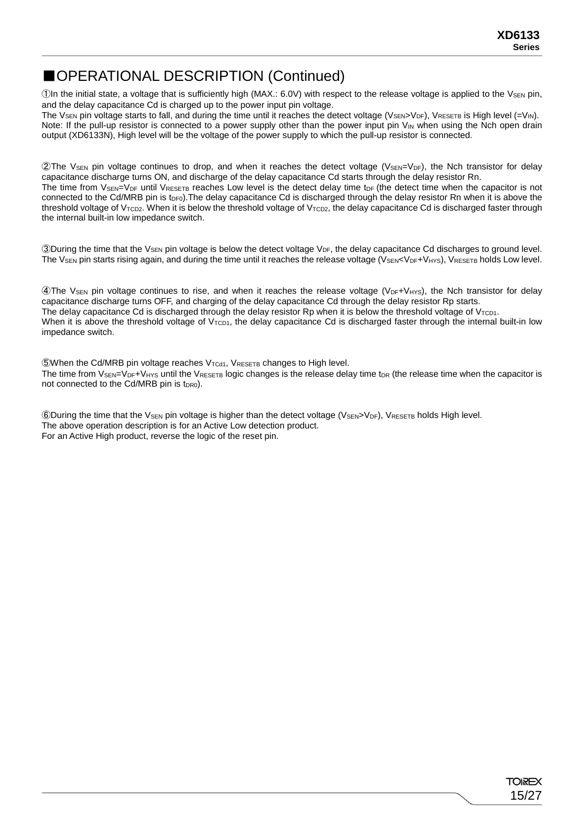## ■OPERATIONAL DESCRIPTION (Continued)

(1) The initial state, a voltage that is sufficiently high (MAX.: 6.0V) with respect to the release voltage is applied to the V<sub>SEN</sub> pin, and the delay capacitance Cd is charged up to the power input pin voltage.

The Vs<sub>EN</sub> pin voltage starts to fall, and during the time until it reaches the detect voltage (V<sub>SEN>VDF</sub>), VRESETB IS High level (=V<sub>IN</sub>). Note: If the pull-up resistor is connected to a power supply other than the power input pin  $V_{\text{IN}}$  when using the Nch open drain output (XD6133N), High level will be the voltage of the power supply to which the pull-up resistor is connected.

②The VSEN pin voltage continues to drop, and when it reaches the detect voltage (VSEN=VDF), the Nch transistor for delay capacitance discharge turns ON, and discharge of the delay capacitance Cd starts through the delay resistor Rn. The time from  $V_{\text{SEN}}$   $V_{\text{DF}}$  until  $V_{\text{RESETB}}$  reaches Low level is the detect delay time t<sub>DF</sub> (the detect time when the capacitor is not connected to the Cd/MRB pin is  $t_{DF0}$ ). The delay capacitance Cd is discharged through the delay resistor Rn when it is above the threshold voltage of V<sub>TCD2</sub>. When it is below the threshold voltage of V<sub>TCD2</sub>, the delay capacitance Cd is discharged faster through the internal built-in low impedance switch.

③During the time that the VSEN pin voltage is below the detect voltage VDF, the delay capacitance Cd discharges to ground level. The  $V_{SEN}$  pin starts rising again, and during the time until it reaches the release voltage ( $V_{SEN}< V_{DF}+V_{HYS}$ ),  $V_{RESETB}$  holds Low level.

 $\Phi$ The V<sub>SEN</sub> pin voltage continues to rise, and when it reaches the release voltage (V<sub>DF</sub>+V<sub>HYS</sub>), the Nch transistor for delay capacitance discharge turns OFF, and charging of the delay capacitance Cd through the delay resistor Rp starts. The delay capacitance Cd is discharged through the delay resistor Rp when it is below the threshold voltage of  $V_{\text{TCD1}}$ . When it is above the threshold voltage of  $V_{\text{TCD1}}$ , the delay capacitance Cd is discharged faster through the internal built-in low impedance switch.

⑤When the Cd/MRB pin voltage reaches VTCd1, VRESETB changes to High level. The time from  $V_{\text{SEN}}=V_{\text{DF}}+V_{\text{HYS}}$  until the  $V_{\text{RESETB}}$  logic changes is the release delay time t<sub>DR</sub> (the release time when the capacitor is not connected to the Cd/MRB pin is t<sub>DR0</sub>).

⑥During the time that the VSEN pin voltage is higher than the detect voltage (VSEN>VDF), VRESETB holds High level. The above operation description is for an Active Low detection product. For an Active High product, reverse the logic of the reset pin.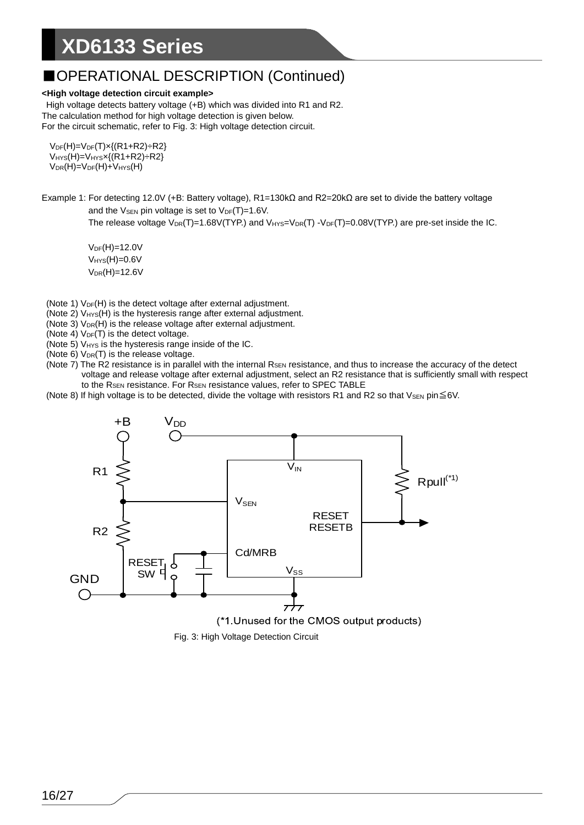### ■OPERATIONAL DESCRIPTION (Continued)

#### **<High voltage detection circuit example>**

High voltage detects battery voltage (+B) which was divided into R1 and R2. The calculation method for high voltage detection is given below. For the circuit schematic, refer to Fig. 3: High voltage detection circuit.

 $V_{DF}(H) = V_{DF}(T) \times \{(R1 + R2) \div R2\}$  $V<sub>HYS</sub>(H)=V<sub>HYS</sub>x{(R1+R2)} ÷ R2$  $V_{DR}(H) = V_{DF}(H) + V_{HYS}(H)$ 

Example 1: For detecting 12.0V (+B: Battery voltage), R1=130kΩ and R2=20kΩ are set to divide the battery voltage and the  $V_{\text{SEN}}$  pin voltage is set to  $V_{\text{DF}}(T)=1.6V$ .

The release voltage  $V_{DR}(T)=1.68V(TYP)$  and  $V_{HYS}=V_{DR}(T)-V_{DF}(T)=0.08V(TYP)$  are pre-set inside the IC.

 $V_{DF}(H)=12.0V$  $V_{HYS}(H)=0.6V$  $V_{DR}(H) = 12.6V$ 

- (Note 1)  $V_{DF}(H)$  is the detect voltage after external adjustment.
- (Note 2)  $V_{HYS}(H)$  is the hysteresis range after external adjustment.
- (Note 3)  $V_{DR}(H)$  is the release voltage after external adjustment.
- (Note 4)  $V_{DF}(T)$  is the detect voltage.
- (Note 5) V<sub>HYS</sub> is the hysteresis range inside of the IC.
- (Note  $6$ )  $V_{DR}(T)$  is the release voltage.
- (Note  $7$ ) The R2 resistance is in parallel with the internal  $R_{\text{SEN}}$  resistance, and thus to increase the accuracy of the detect voltage and release voltage after external adjustment, select an R2 resistance that is sufficiently small with respect to the R<sub>SEN</sub> resistance. For R<sub>SEN</sub> resistance values, refer to SPEC TABLE
- (Note 8) If high voltage is to be detected, divide the voltage with resistors R1 and R2 so that VsEN pin $\leq$ 6V.



Fig. 3: High Voltage Detection Circuit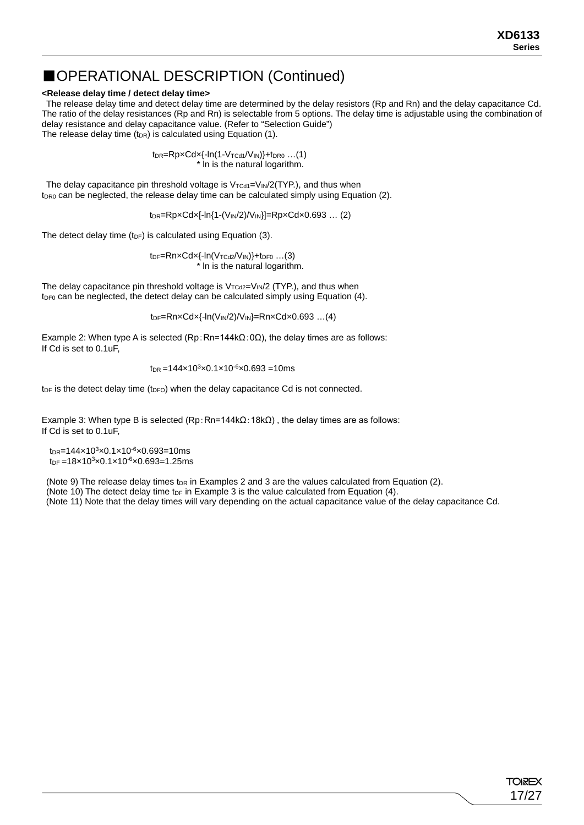### ■OPERATIONAL DESCRIPTION (Continued)

#### **<Release delay time / detect delay time>**

The release delay time and detect delay time are determined by the delay resistors (Rp and Rn) and the delay capacitance Cd. The ratio of the delay resistances (Rp and Rn) is selectable from 5 options. The delay time is adjustable using the combination of delay resistance and delay capacitance value. (Refer to "Selection Guide") The release delay time ( $t_{DR}$ ) is calculated using Equation (1).

> $t_{DR} = RpxCdx{-ln(1-V_{TCd1}/V_{IN})}+t_{DRO}$  ...(1) \* ln is the natural logarithm.

The delay capacitance pin threshold voltage is  $V_{\text{TCd1}}=V_{\text{IN}}/2(\text{TYP.})$ , and thus when  $t_{DR0}$  can be neglected, the release delay time can be calculated simply using Equation (2).

 $t_{DR}$ =Rp×Cd×[-ln{1-(V<sub>IN</sub>/2)/V<sub>IN</sub>}]=Rp×Cd×0.693 ... (2)

The detect delay time (t<sub>DF</sub>) is calculated using Equation (3).

 $tp_F=RnxCdx{-ln(V_{TCd2}/V_{IN})}+tp_{F0}$  ...(3) \* ln is the natural logarithm.

The delay capacitance pin threshold voltage is  $V_{TCd2}=V_{IN}/2$  (TYP.), and thus when  $t_{DF0}$  can be neglected, the detect delay can be calculated simply using Equation (4).

tDF=Rn×Cd×{-ln(VIN/2)/VIN}=Rn×Cd×0.693 …(4)

Example 2: When type A is selected (Rp:Rn=144k $\Omega$ :0 $\Omega$ ), the delay times are as follows: If Cd is set to 0.1uF,

$$
t_{\rm DR} = 144 \times 10^3 \times 0.1 \times 10^{-6} \times 0.693 = 10 \, \text{ms}
$$

 $t_{DF}$  is the detect delay time ( $t_{DF}$ ) when the delay capacitance Cd is not connected.

Example 3: When type B is selected (Rp:Rn=144kΩ: 18kΩ), the delay times are as follows: If Cd is set to 0.1uF,

 $t_{DR}$ =144×10<sup>3</sup>×0.1×10<sup>-6</sup>×0.693=10ms  $t_{DF} = 18 \times 10^{3} \times 0.1 \times 10^{-6} \times 0.693 = 1.25$ ms

(Note 9) The release delay times t<sub>DR</sub> in Examples 2 and 3 are the values calculated from Equation (2). (Note 10) The detect delay time t<sub>DF</sub> in Example 3 is the value calculated from Equation  $(4)$ .

(Note 11) Note that the delay times will vary depending on the actual capacitance value of the delay capacitance Cd.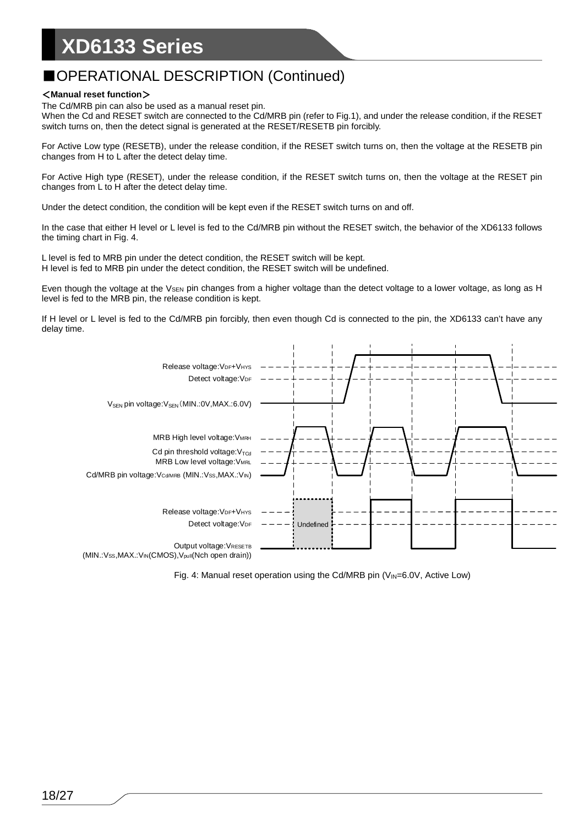## ■OPERATIONAL DESCRIPTION (Continued)

#### <**Manual reset function**>

The Cd/MRB pin can also be used as a manual reset pin.

When the Cd and RESET switch are connected to the Cd/MRB pin (refer to Fig.1), and under the release condition, if the RESET switch turns on, then the detect signal is generated at the RESET/RESETB pin forcibly.

For Active Low type (RESETB), under the release condition, if the RESET switch turns on, then the voltage at the RESETB pin changes from H to L after the detect delay time.

For Active High type (RESET), under the release condition, if the RESET switch turns on, then the voltage at the RESET pin changes from L to H after the detect delay time.

Under the detect condition, the condition will be kept even if the RESET switch turns on and off.

In the case that either H level or L level is fed to the Cd/MRB pin without the RESET switch, the behavior of the XD6133 follows the timing chart in Fig. 4.

L level is fed to MRB pin under the detect condition, the RESET switch will be kept. H level is fed to MRB pin under the detect condition, the RESET switch will be undefined.

Even though the voltage at the  $V_{\text{SEN}}$  pin changes from a higher voltage than the detect voltage to a lower voltage, as long as H level is fed to the MRB pin, the release condition is kept.

If H level or L level is fed to the Cd/MRB pin forcibly, then even though Cd is connected to the pin, the XD6133 can't have any delay time.



Fig. 4: Manual reset operation using the Cd/MRB pin  $(V_{\text{IN}}=6.0V$ , Active Low)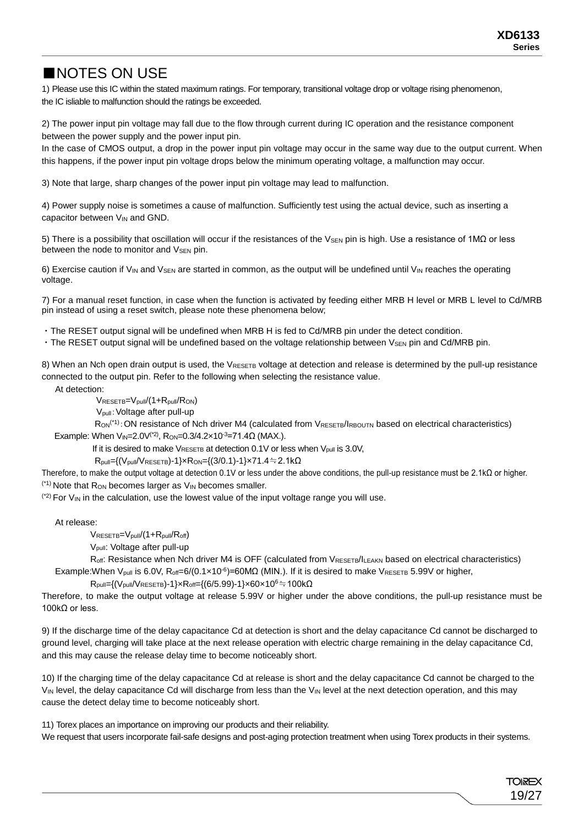## ■NOTES ON USE

1) Please use this IC within the stated maximum ratings. For temporary, transitional voltage drop or voltage rising phenomenon, the IC isliable to malfunction should the ratings be exceeded.

2) The power input pin voltage may fall due to the flow through current during IC operation and the resistance component between the power supply and the power input pin.

In the case of CMOS output, a drop in the power input pin voltage may occur in the same way due to the output current. When this happens, if the power input pin voltage drops below the minimum operating voltage, a malfunction may occur.

3) Note that large, sharp changes of the power input pin voltage may lead to malfunction.

4) Power supply noise is sometimes a cause of malfunction. Sufficiently test using the actual device, such as inserting a capacitor between V<sub>IN</sub> and GND.

5) There is a possibility that oscillation will occur if the resistances of the V<sub>SEN</sub> pin is high. Use a resistance of 1MΩ or less between the node to monitor and V<sub>SEN</sub> pin.

6) Exercise caution if V<sub>IN</sub> and V<sub>SEN</sub> are started in common, as the output will be undefined until V<sub>IN</sub> reaches the operating voltage.

7) For a manual reset function, in case when the function is activated by feeding either MRB H level or MRB L level to Cd/MRB pin instead of using a reset switch, please note these phenomena below;

・The RESET output signal will be undefined when MRB H is fed to Cd/MRB pin under the detect condition.

• The RESET output signal will be undefined based on the voltage relationship between VsEN pin and Cd/MRB pin.

8) When an Nch open drain output is used, the VRESETB voltage at detection and release is determined by the pull-up resistance connected to the output pin. Refer to the following when selecting the resistance value.

At detection:

VRESETB=Vpull/(1+Rpull/RON)

Vpull:Voltage after pull-up

R<sub>ON</sub><sup>(\*1)</sup>: ON resistance of Nch driver M4 (calculated from VRESETB/IRBOUTN based on electrical characteristics) Example: When  $V_{IN}=2.0V^{(2)}$ , Ron=0.3/4.2×10<sup>-3</sup>=71.4 $\Omega$  (MAX.).

If it is desired to make  $V_{RESETB}$  at detection 0.1V or less when  $V_{pull}$  is 3.0V,

 $R_{pull}=(V_{pull}/V_{RESETB})-1\} \times R_{ON} = {(3/0.1)}-1\} \times 71.4=2.1k\Omega$ 

Therefore, to make the output voltage at detection 0.1V or less under the above conditions, the pull-up resistance must be 2.1kΩ or higher.  $(1)$  Note that R<sub>ON</sub> becomes larger as  $V_{IN}$  becomes smaller.

 $(2)$  For  $V_{IN}$  in the calculation, use the lowest value of the input voltage range you will use.

At release:

 $V_{RESETB}=V_{pull}/(1+R_{pull}/R_{off})$ 

Vpull: Voltage after pull-up

Roff: Resistance when Nch driver M4 is OFF (calculated from VRESETB/ILEAKN based on electrical characteristics) Example:When V<sub>pull</sub> is 6.0V, R<sub>off</sub>=6/(0.1×10<sup>-6</sup>)=60MΩ (MIN.). If it is desired to make V<sub>RESETB</sub> 5.99V or higher,

 $R_{pull}=\{(V_{pull}/V_{RESETB})-1\} \times R_{off}=\{(6/5.99)-1\} \times 60 \times 10^6 \doteqdot 100 \ \Omega$ 

Therefore, to make the output voltage at release 5.99V or higher under the above conditions, the pull-up resistance must be 100kΩ or less.

9) If the discharge time of the delay capacitance Cd at detection is short and the delay capacitance Cd cannot be discharged to ground level, charging will take place at the next release operation with electric charge remaining in the delay capacitance Cd, and this may cause the release delay time to become noticeably short.

10) If the charging time of the delay capacitance Cd at release is short and the delay capacitance Cd cannot be charged to the VIN level, the delay capacitance Cd will discharge from less than the VIN level at the next detection operation, and this may cause the detect delay time to become noticeably short.

11) Torex places an importance on improving our products and their reliability.

We request that users incorporate fail-safe designs and post-aging protection treatment when using Torex products in their systems.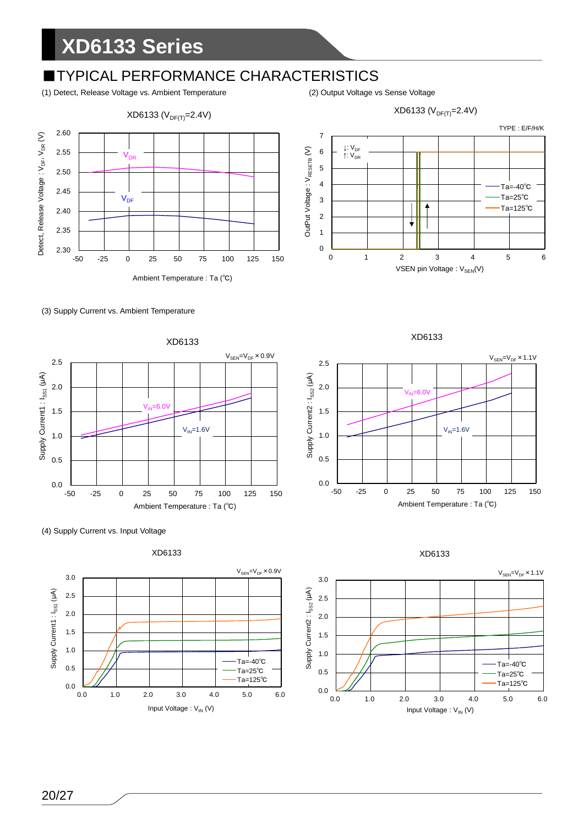## **■TYPICAL PERFORMANCE CHARACTERISTICS**

(1) Detect, Release Voltage vs. Ambient Temperature (2) Output Voltage vs Sense Voltage















XD6133



XD6133

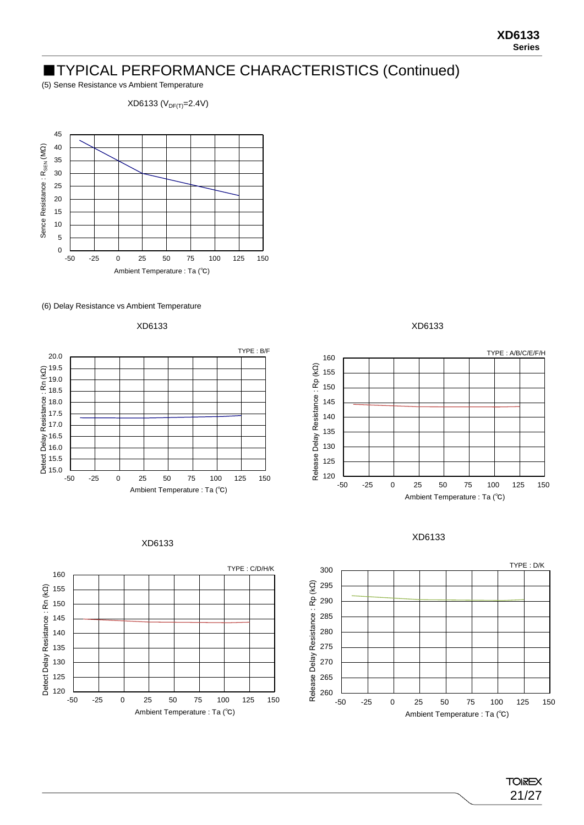### ■TYPICAL PERFORMANCE CHARACTERISTICS (Continued)

(5) Sense Resistance vs Ambient Temperature

 $XD6133 (V_{DF(T)}=2.4V)$ 

















XD6133



21/27

**TOIREX**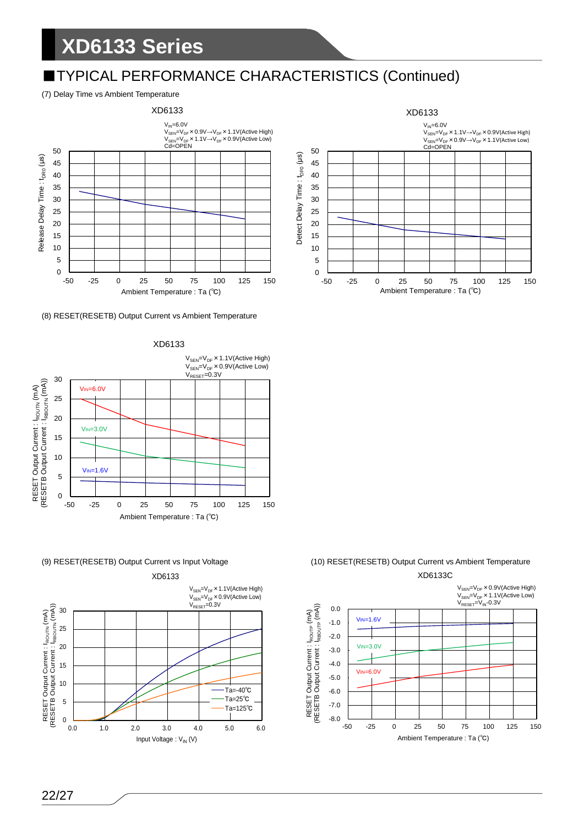## ■TYPICAL PERFORMANCE CHARACTERISTICS (Continued)

#### (7) Delay Time vs Ambient Temperature



#### (8) RESET(RESETB) Output Current vs Ambient Temperature









### (9) RESET(RESETB) Output Current vs Input Voltage (10) RESET(RESETB) Output Current vs Ambient Temperature

XD6133C V<sub>SEN</sub>=V<sub>DF</sub>×0.9V(Active High)<br>V<sub>SEN</sub>=V<sub>DF</sub>×1.1V(Active Low)<br>V<sub>RESET</sub>=V<sub>IN</sub>-0.3V RESET Output Current : l<sub>ROUTP</sub> (mA)<br>(RESETB Output Current : l<sub>RBOUTP</sub> (mA)) (RESETB Output Current : IRBOUTP (mA)) 0.0 RESET Output Current : IROUTP (mA) VIN=1.6V -1.0 -2.0 VIN=3.0V -3.0 -4.0 VIN=6.0V-5.0 -6.0 -7.0 -8.0 -50 -25 0 25 50 75 100 125 150 Ambient Temperature : Ta (℃)

#### 22/27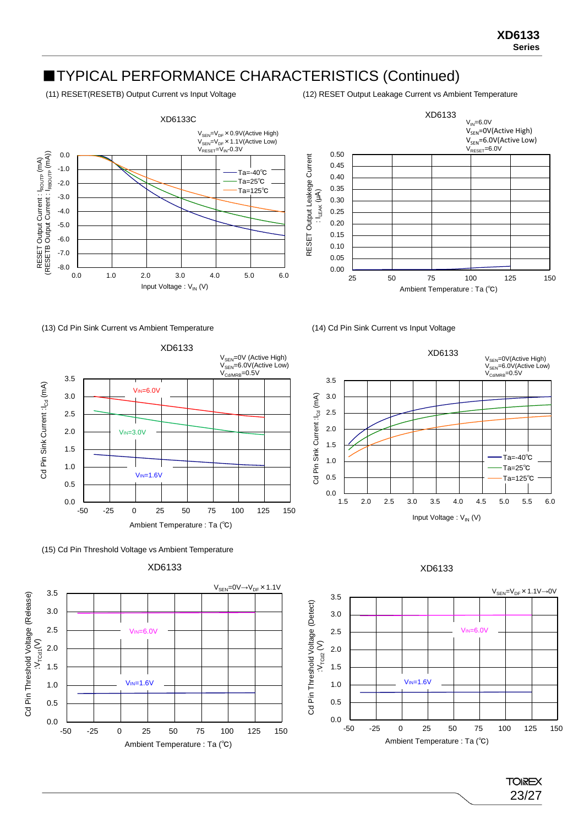## ■TYPICAL PERFORMANCE CHARACTERISTICS (Continued)

(11) RESET(RESETB) Output Current vs Input Voltage (12) RESET Output Leakage Current vs Ambient Temperature



(13) Cd Pin Sink Current vs Ambient Temperature (14) Cd Pin Sink Current vs Input Voltage















#### XD6133

**TOREX** 23/27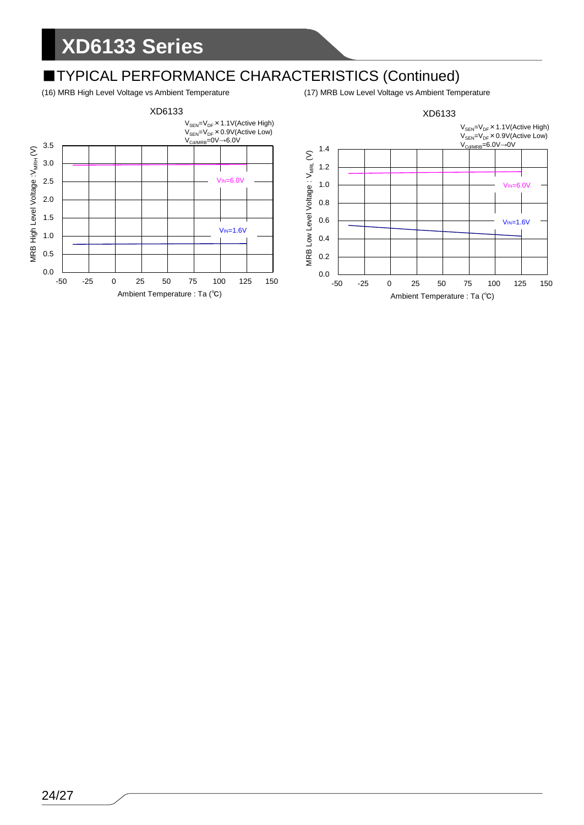# ■TYPICAL PERFORMANCE CHARACTERISTICS (Continued)<br>(16) MRB High Level Voltage vs Ambient Temperature (17) MRB Low Level Voltage vs Ambient Temperature

(16) MRB High Level Voltage vs Ambient Temperature

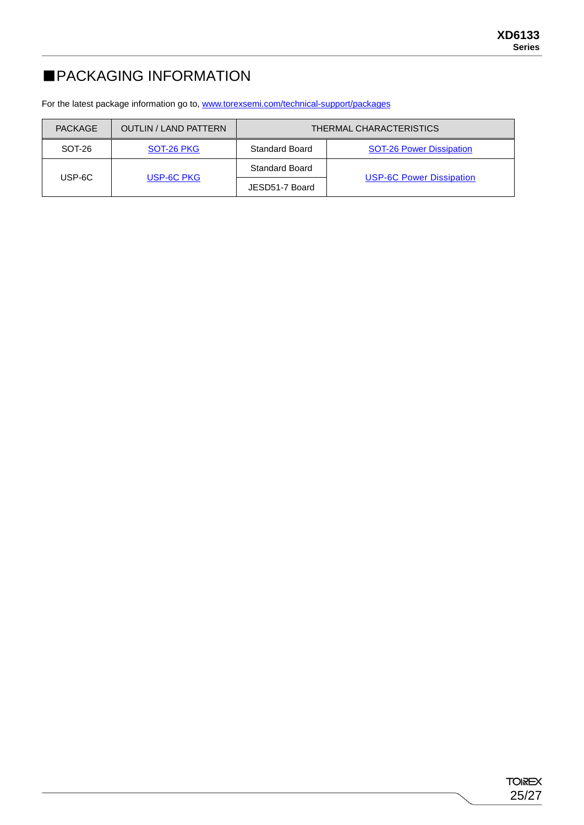## ■PACKAGING INFORMATION

For the latest package information go to, [www.torexsemi.com/technical-support/packages](https://www.torexsemi.com/technical-support/packages/)

| PACKAGE | <b>OUTLIN / LAND PATTERN</b> | THERMAL CHARACTERISTICS |                                 |  |  |  |  |
|---------|------------------------------|-------------------------|---------------------------------|--|--|--|--|
| SOT-26  | SOT-26 PKG                   | <b>Standard Board</b>   | <b>SOT-26 Power Dissipation</b> |  |  |  |  |
| USP-6C  |                              | Standard Board          |                                 |  |  |  |  |
|         | USP-6C PKG                   | JESD51-7 Board          | <b>USP-6C Power Dissipation</b> |  |  |  |  |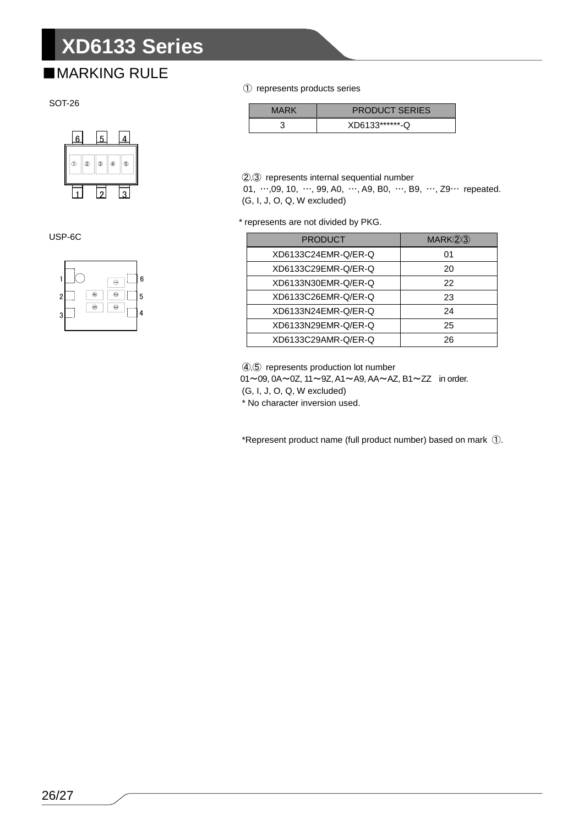## ■MARKING RULE



USP-6C



① represents products series

| MARK | <b>PRODUCT SERIES</b> |
|------|-----------------------|
|      | XD6133*******-Q       |

②,③ represents internal sequential number

01, …,09, 10, …, 99, A0, …, A9, B0, …, B9, …, Z9… repeated. (G, I, J, O, Q, W excluded)

\* represents are not divided by PKG.

| <b>PRODUCT</b>      | MARK(2)3 |
|---------------------|----------|
| XD6133C24EMR-Q/ER-Q | 01       |
| XD6133C29EMR-Q/ER-Q | 20       |
| XD6133N30EMR-Q/ER-Q | 22       |
| XD6133C26EMR-Q/ER-Q | 23       |
| XD6133N24EMR-Q/ER-Q | 24       |
| XD6133N29EMR-Q/ER-Q | 25       |
| XD6133C29AMR-Q/ER-Q | 26       |

④,⑤ represents production lot number 01~09, 0A~0Z, 11~9Z, A1~A9, AA~AZ, B1~ZZ in order. (G, I, J, O, Q, W excluded) \* No character inversion used.

\*Represent product name (full product number) based on mark ①.